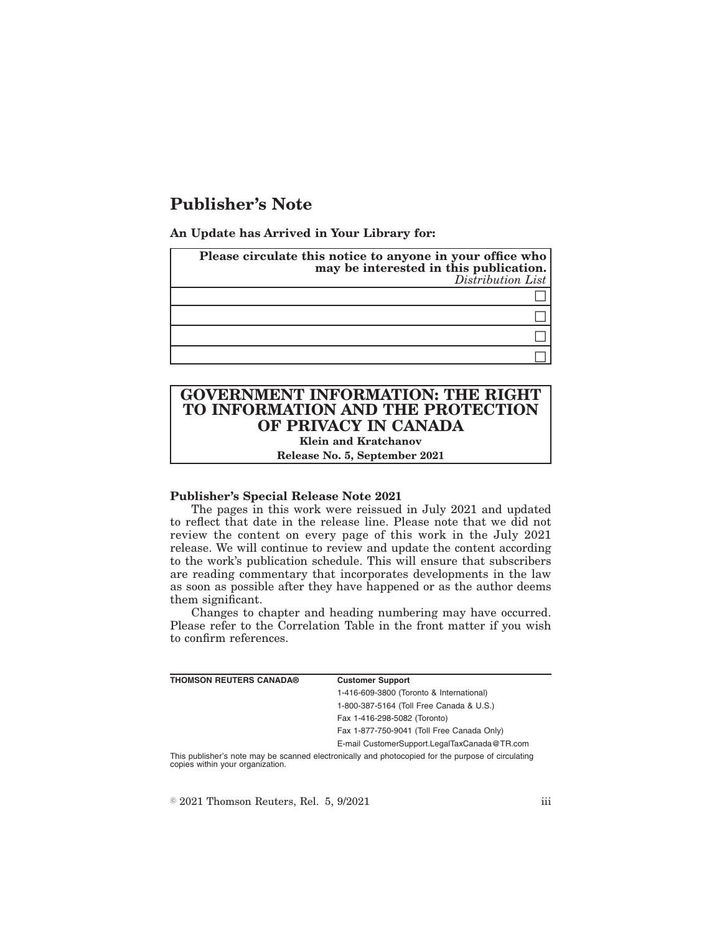# **Publisher's Note**

**An Update has Arrived in Your Library for:**

| Please circulate this notice to anyone in your office who<br>may be interested in this publication.<br>Distribution List |
|--------------------------------------------------------------------------------------------------------------------------|
|                                                                                                                          |
|                                                                                                                          |
|                                                                                                                          |
|                                                                                                                          |

## **GOVERNMENT INFORMATION: THE RIGHT TO INFORMATION AND THE PROTECTION OF PRIVACY IN CANADA Klein and Kratchanov**

**Release No. 5, September 2021**

#### **Publisher's Special Release Note 2021**

The pages in this work were reissued in July 2021 and updated to reflect that date in the release line. Please note that we did not review the content on every page of this work in the July 2021 release. We will continue to review and update the content according to the work's publication schedule. This will ensure that subscribers are reading commentary that incorporates developments in the law as soon as possible after they have happened or as the author deems them significant.

Changes to chapter and heading numbering may have occurred. Please refer to the Correlation Table in the front matter if you wish to confirm references.

| THOMSON REUTERS CANADA®                                                                           | <b>Customer Support</b>                      |  |
|---------------------------------------------------------------------------------------------------|----------------------------------------------|--|
|                                                                                                   | 1-416-609-3800 (Toronto & International)     |  |
|                                                                                                   | 1-800-387-5164 (Toll Free Canada & U.S.)     |  |
|                                                                                                   | Fax 1-416-298-5082 (Toronto)                 |  |
|                                                                                                   | Fax 1-877-750-9041 (Toll Free Canada Only)   |  |
|                                                                                                   | E-mail CustomerSupport.LegalTaxCanada@TR.com |  |
| This publisher's note may be connect cleatronically and photoconicd for the numero of circulating |                                              |  |

This publisher's note may be scanned electronically and photocopied for the purpose of circulating copies within your organization.

 $\textdegree$  2021 Thomson Reuters, Rel. 5, 9/2021 iii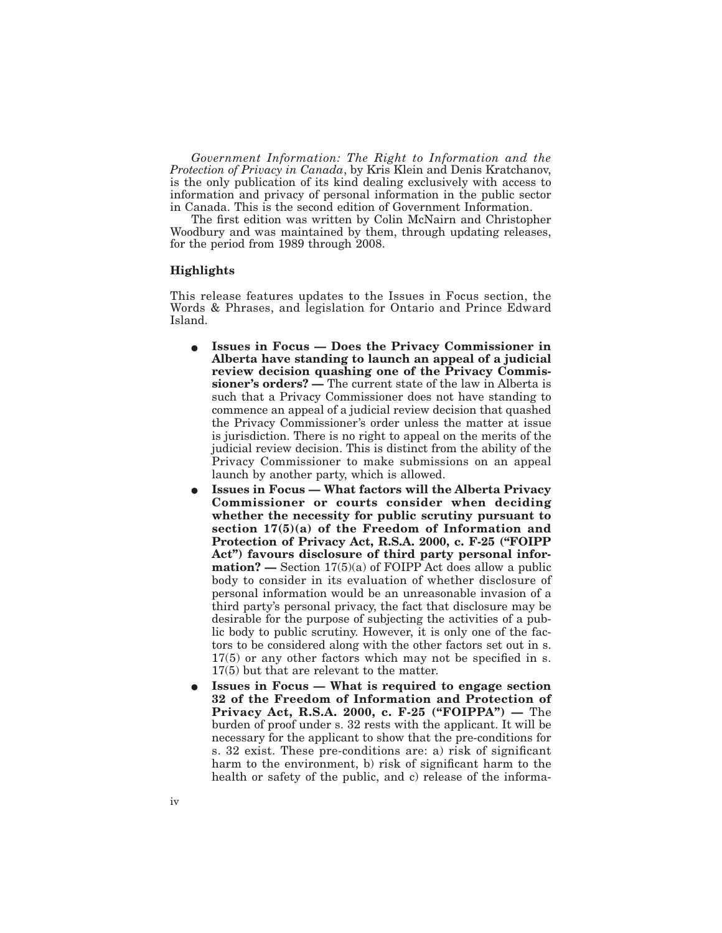*Government Information: The Right to Information and the Protection of Privacy in Canada*, by Kris Klein and Denis Kratchanov, is the only publication of its kind dealing exclusively with access to information and privacy of personal information in the public sector in Canada. This is the second edition of Government Information.

The first edition was written by Colin McNairn and Christopher Woodbury and was maintained by them, through updating releases, for the period from 1989 through 2008.

#### **Highlights**

This release features updates to the Issues in Focus section, the Words & Phrases, and legislation for Ontario and Prince Edward Island.

- E **Issues in Focus Does the Privacy Commissioner in Alberta have standing to launch an appeal of a judicial review decision quashing one of the Privacy Commissioner's orders? —** The current state of the law in Alberta is such that a Privacy Commissioner does not have standing to commence an appeal of a judicial review decision that quashed the Privacy Commissioner's order unless the matter at issue is jurisdiction. There is no right to appeal on the merits of the judicial review decision. This is distinct from the ability of the Privacy Commissioner to make submissions on an appeal launch by another party, which is allowed.
- E **Issues in Focus What factors will the Alberta Privacy Commissioner or courts consider when deciding whether the necessity for public scrutiny pursuant to section 17(5)(a) of the Freedom of Information and Protection of Privacy Act, R.S.A. 2000, c. F-25 ("FOIPP Act") favours disclosure of third party personal information? —** Section 17(5)(a) of FOIPP Act does allow a public body to consider in its evaluation of whether disclosure of personal information would be an unreasonable invasion of a third party's personal privacy, the fact that disclosure may be desirable for the purpose of subjecting the activities of a public body to public scrutiny. However, it is only one of the factors to be considered along with the other factors set out in s. 17(5) or any other factors which may not be specified in s. 17(5) but that are relevant to the matter.
- E **Issues in Focus What is required to engage section 32 of the Freedom of Information and Protection of Privacy Act, R.S.A. 2000, c. F-25 ("FOIPPA") —** The burden of proof under s. 32 rests with the applicant. It will be necessary for the applicant to show that the pre-conditions for s. 32 exist. These pre-conditions are: a) risk of significant harm to the environment, b) risk of significant harm to the health or safety of the public, and c) release of the informa-